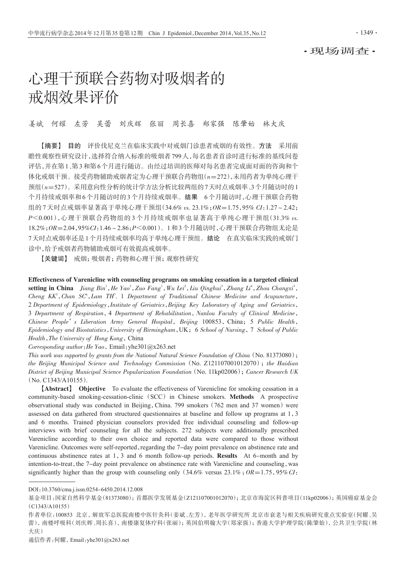·现场调查·

# 心理干预联合药物对吸烟者的 戒烟效果评价

姜斌 何耀 左芳 吴蕾 刘庆辉 张丽 周长喜 郑家强 陈肇始 林大庆

【摘要】 目的 评价伐尼克兰在临床实践中对戒烟门诊患者戒烟的有效性。方法 采用前 瞻性观察性研究设计,选择符合纳入标准的吸烟者799人,每名患者首诊时进行标准的基线问卷 评估,并在第1、第3和第6个月进行随访。由经过培训的医师对每名患者完成面对面的咨询和个 体化戒烟干预。接受药物辅助戒烟者定为心理干预联合药物组(n=272),未用药者为单纯心理干 预组(n=527)。采用意向性分析的统计学方法分析比较两组的7天时点戒烟率、3个月随访时的1 个月持续戒烟率和6个月随访时的3个月持续戒烟率。结果 6个月随访时,心理干预联合药物 组的 7 天时点戒烟率显著高于单纯心理干预组 (34.6% vs. 23.1%; OR=1.75, 95% CI:1.27 ~ 2.42; P<0.001),心理干预联合药物组的 3 个月持续戒烟率也显著高于单纯心理干预组(31.3% vs. 18.2%;OR=2.04,95%CI:1.46~2.86;P<0.001)。1和3个月随访时,心理干预联合药物组无论是 7天时点戒烟率还是1个月持续戒烟率均高于单纯心理干预组。结论 在真实临床实践的戒烟门 诊中,给予戒烟者药物辅助戒烟可有效提高戒烟率。

【关键词】 戒烟;吸烟者;药物和心理干预;观察性研究

Effectiveness of Varenicline with counseling programs on smoking cessation in a targeted clinical setting in China Jiang  $Bin^1$ , He Yao<sup>2</sup>, Zuo Fang<sup>1</sup>, Wu Lei<sup>2</sup>, Liu Qinghui<sup>3</sup>, Zhang Li<sup>4</sup>, Zhou Changxi<sup>3</sup>, Cheng KK<sup>5</sup>, Chan SC<sup>6</sup>, Lam TH<sup>7</sup>. 1 Department of Traditional Chinese Medicine and Acupuncture, 2 Department of Epidemiology, Institute of Geriatrics, Beijing Key Laboratory of Aging and Geriatrics, 3 Department of Respiration,4 Department of Rehabilitation,Nanlou Faculty of Clinical Medicine, Chinese People's Liberation Army General Hospital, Beijing 100853, China; 5 Public Health, Epidemiology and Biostatistics,University of Birmingham,UK;6 School of Nursing,7 School of Public Health, The University of Hong Kong, China

Corresponding author: He Yao, Email: yhe301@x263.net

This work was supported by grants from the National Natural Science Foundation of China (No. 81373080); the Beijing Municipal Science and Technology Commission (No.  $Z121107001012070$ ); the Haidian District of Beijing Municipal Science Popularization Foundation (No. 11kp02006); Cancer Research UK (No. C1343/A10155).

【Abstract】 Objective To evaluate the effectiveness of Varenicline for smoking cessation in a community-based smoking-cessation-clinic (SCC) in Chinese smokers. Methods A prospective observational study was conducted in Beijing, China. 799 smokers (762 men and 37 women) were assessed on data gathered from structured questionnaires at baseline and follow up programs at 1,3 and 6 months. Trained physician counselors provided free individual counseling and follow-up interviews with brief counseling for all the subjects. 272 subjects were additionally prescribed Varenicline according to their own choice and reported data were compared to those without Varenicline. Outcomes were self-reported, regarding the 7-day point prevalence on abstinence rate and continuous abstinence rates at 1,3 and 6 month follow-up periods. Results At 6-month and by intention-to-treat, the 7-day point prevalence on abstinence rate with Varenicline and counseling, was significantly higher than the group with counseling only (34.6% versus  $23.1\%$ ;  $OR = 1.75$ , 95% CI:

通信作者:何耀,Email:yhe301@x263.net

DOI:10.3760/cma.j.issn.0254-6450.2014.12.008

基金项目:国家自然科学基金(81373080);首都医学发展基金(Z121107001012070);北京市海淀区科普项目(11kp02006);英国癌症基金会 (C1343/A10155)

作者单位:100853 北京,解放军总医院南楼中医针灸科(姜斌、左芳),老年医学研究所 北京市衰老与相关疾病研究重点实验室(何耀、吴 蕾),南楼呼吸科(刘庆辉、周长喜),南楼康复体疗科(张丽);英国伯明翰大学(郑家强);香港大学护理学院(陈肇始),公共卫生学院(林 大庆)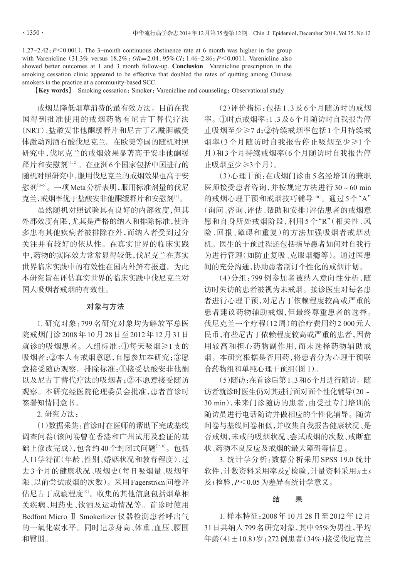$1.27-2.42$ ;  $P \le 0.001$ ). The 3-month continuous abstinence rate at 6 month was higher in the group with Varenicline  $(31.3\% \text{ versus } 18.2\%; OR=2.04, 95\% CI: 1.46-2.86; P<0.001)$ . Varenicline also showed better outcomes at 1 and 3 month follow-up. Conclusion Varenicline prescription in the smoking cessation clinic appeared to be effective that doubled the rates of quitting among Chinese smokers in the practice at a community-based SCC.

【Key words】 Smoking cessation;Smoker;Varenicline and counseling;Observational study

戒烟是降低烟草消费的最有效方法。目前在我 国得到批准使用的戒烟药物有尼古丁替代疗法 (NRT)、盐酸安非他酮缓释片和尼古丁乙酰胆碱受 体激动剂酒石酸伐尼克兰。在欧美等国的随机对照 研究中,伐尼克兰的戒烟效果显著高于安非他酮缓 释片和安慰剂[1,2]。在亚洲6个国家包括中国进行的 随机对照研究中,服用伐尼克兰的戒烟效果也高于安 慰剂[3-5]。一项 Meta分析表明 ,服用标准剂量的伐尼 克兰,戒烟率优于盐酸安非他酮缓释片和安慰剂[<sup>6</sup>] 。

虽然随机对照试验具有良好的内部效度,但其 外部效度有限,尤其是严格的纳入和排除标准,使许 多患有其他疾病者被排除在外,而纳入者受到过分 关注并有较好的依从性。在真实世界的临床实践 中,药物的实际效力常常显得较低,伐尼克兰在真实 世界临床实践中的有效性在国内外鲜有报道。为此 本研究旨在评估真实世界的临床实践中伐尼克兰对 国人吸烟者戒烟的有效性。

#### 对象与方法

1. 研究对象:799 名研究对象均为解放军总医 院戒烟门诊2008年10月28日至2012年12月31日 就诊的吸烟患者。入组标准:①每天吸烟≥1支的 吸烟者;②本人有戒烟意愿,自愿参加本研究;③愿 意接受随访观察。排除标准:①接受盐酸安非他酮 以及尼古丁替代疗法的吸烟者;②不愿意接受随访 观察。本研究经医院伦理委员会批准,患者首诊时 签署知情同意书。

2. 研究方法:

(1)数据采集:首诊时在医师的帮助下完成基线 调查问卷(该问卷曾在香港和广州试用及验证的基 础上修改完成),包含约40个封闭式问题[<sup>7</sup>,8] 。包括 人口学特征(年龄、性别、婚姻状况和教育程度)、过 去3个月的健康状况、吸烟史(每日吸烟量、吸烟年 限、以前尝试戒烟的次数)。采用Fagerström问卷评 估尼古丁成瘾程度<sup>[9]</sup>。收集的其他信息包括烟草相 关疾病、用药史、饮酒及运动情况等。首诊时使用 Bedfont Micro Ⅱ Smokerlizer 仪器检测患者呼出气 的一氧化碳水平。同时记录身高、体重、血压、腰围 和臀围。

(2)评价指标:包括1、3及6个月随访时的戒烟 率。①时点戒烟率:1、3及6个月随访时自我报告停 止吸烟至少≥7 d;②持续戒烟率包括1个月持续戒 烟率(3 个月随访时自我报告停止吸烟至少≥1 个 月)和3个月持续戒烟率(6个月随访时自我报告停 止吸烟至少≥3个月)。

(3)心理干预:在戒烟门诊由5名经培训的兼职 医师接受患者咨询,并按规定方法进行30~60 min 的戒烟心理干预和戒烟技巧辅导[10]。通过 5 个"A" (询问、咨询、评估、帮助和安排)评估患者的戒烟意 愿和自身所处戒烟阶段,利用 5 个"R"(相关性、风 险、回报、障碍和重复)的方法加强吸烟者戒烟动 机。医生的干预过程还包括指导患者如何对自我行 为进行管理(如防止复吸、克服烟瘾等)。通过医患 间的充分沟通,协助患者制订个性化的戒烟计划。

(4)分组:799 例参加者被纳入意向性分析,随 访时失访的患者被视为未戒烟。接诊医生对每名患 者进行心理干预,对尼古丁依赖程度较高或严重的 患者建议药物辅助戒烟,但最终尊重患者的选择。 伐尼克兰一个疗程(12周)的治疗费用约2 000元人 民币,有些尼古丁依赖程度较高或严重的患者,因费 用较高和担心药物副作用,而未选择药物辅助戒 烟。本研究根据是否用药,将患者分为心理干预联 合药物组和单纯心理干预组(图1)。

(5)随访:在首诊后第1、3和6个月进行随访。随 访者就诊时医生仍对其进行面对面个性化辅导(20~ 30 min),未来门诊随访的患者,由受过专门培训的 随访员进行电话随访并做相应的个性化辅导。随访 问卷与基线问卷相似,并收集自我报告健康状况、是 否戒烟,未戒的吸烟状况、尝试戒烟的次数、戒断症 状、药物不良反应及戒烟的最大障碍等信息。

3. 统计学分析:数据分析采用 SPSS 19.0 统计 软件,计数资料采用率及χ2检验,计量资料采用 $\bar{x}$ ±s 及t检验,P<0.05为差异有统计学意义。

### 结 果

1. 样本特征:2008年10月28日至2012年12月 31日共纳入799名研究对象,其中95%为男性,平均 年龄(41±10.8)岁;272例患者(34%)接受伐尼克兰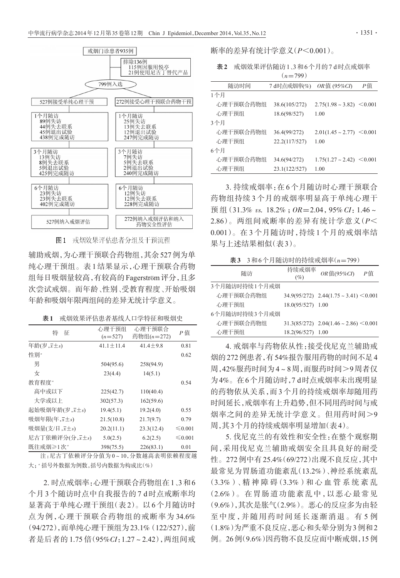

图1 戒烟效果评估患者分组及干预流程

辅助戒烟,为心理干预联合药物组,其余527例为单 纯心理干预组。表1结果显示,心理干预联合药物 组每日吸烟量较高,有较高的Fagerström评分,且多 次尝试戒烟。而年龄、性别、受教育程度、开始吸烟 年龄和吸烟年限两组间的差异无统计学意义。

表1 戒烟效果评估患者基线人口学特征和吸烟史

| 特<br>征                                  | 心理干预组           | 心理干预联合         | P 值          |  |
|-----------------------------------------|-----------------|----------------|--------------|--|
|                                         | $(n=527)$       | 药物组(n=272)     |              |  |
| 年龄 $(\overline{z}, \overline{x} \pm s)$ | $41.1 \pm 11.4$ | $41.4 \pm 9.8$ | 0.81         |  |
| 性别"                                     |                 |                | 0.62         |  |
| 男                                       | 504(95.6)       | 258(94.9)      |              |  |
| 女                                       | 23(4.4)         | 14(5.1)        |              |  |
| 教育程度 <sup>。</sup>                       |                 |                | 0.54         |  |
| 高中或以下                                   | 225(42.7)       | 110(40.4)      |              |  |
| 大学或以上                                   | 302(57.3)       | 162(59.6)      |              |  |
| 起始吸烟年龄(岁,x±s)                           | 19.4(5.1)       | 19.2(4.0)      | 0.55         |  |
| 吸烟年限(年,x±s)                             | 21.5(10.8)      | 21.7(9.7)      | 0.79         |  |
| 吸烟量(支/日,x±s)                            | 20.2(11.1)      | 23.3(12.4)     | ≤ 0.001      |  |
| 尼古丁依赖评分(分, x±s)                         | 5.0(2.5)        | 6.2(2.5)       | $\leq 0.001$ |  |
| 既往戒烟≥1次 <sup>。</sup>                    | 398(75.5)       | 226(83.1)      | 0.01         |  |

注:尼古丁依赖评分分值为 0~10,分数越高表明依赖程度越 大;"括号外数据为例数,括号内数据为构成比(%)

2. 时点戒烟率:心理干预联合药物组在1、3和6 个月3个随访时点中自我报告的7 d时点戒断率均 显著高于单纯心理干预组(表2)。以6个月随访时 点为例,心理干预联合药物组的戒断率为 34.6% (94/272),而单纯心理干预组为23.1%(122/527),前 者是后者的 1.75 倍 (95%CI: 1.27~2.42), 两组间戒 断率的差异有统计学意义(P<0.001)。

表2 戒烟效果评估随访1、3和6个月的7 d时点戒烟率  $(n=799)$ 

| 随访时间      | 7 d时点戒烟率(%)   | $OR$ 值 (95%CI)                    | Р值 |
|-----------|---------------|-----------------------------------|----|
| 1个月       |               |                                   |    |
| 心理干预联合药物组 | 38.6(105/272) | $2.75(1.98 \sim 3.82)$ < 0.001    |    |
| 心理干预组     | 18.6(98/527)  | 1.00                              |    |
| 3个月       |               |                                   |    |
| 心理干预联合药物组 | 36.4(99/272)  | $2.01(1.45 \sim 2.77) \le 0.001$  |    |
| 心理干预组     | 22.2(117/527) | 1.00                              |    |
| 6个月       |               |                                   |    |
| 心理干预联合药物组 | 34.6(94/272)  | $1.75(1.27 \sim 2.42) \leq 0.001$ |    |
| 心理干预组     | 23.1(122/527) | 1.00                              |    |

3. 持续戒烟率:在 6 个月随访时心理干预联合 药物组持续 3 个月的戒烟率明显高于单纯心理干 预 组  $(31.3\%$  vs.  $18.2\%$ ;  $OR=2.04$ ,  $95\%$   $CI: 1.46 \sim$ 2.86)。两组间戒断率的差异有统计学意义(P< 0.001)。在 3 个月随访时,持续 1 个月的戒烟率结 果与上述结果相似(表3)。

 $\overline{x}3$  3和6个月随访时的持续戒烟率 $(n=799)$ 

| 随访            | 持续戒烟率<br>(%)      | $OR$ 值(95%CI)                                   | P値 |
|---------------|-------------------|-------------------------------------------------|----|
| 3个月随访时持续1个月戒烟 |                   |                                                 |    |
| 心理干预联合药物组     |                   | $34.9(95/272)$ $2.44(1.75 \sim 3.41) \le 0.001$ |    |
| 心理干预组         | 18.0(95/527) 1.00 |                                                 |    |
| 6个月随访时持续3个月戒烟 |                   |                                                 |    |
| 心理干预联合药物组     |                   | $31.3(85/272)$ $2.04(1.46 \sim 2.86) \le 0.001$ |    |
| 心理干预组         | 18.2(96/527) 1.00 |                                                 |    |

4. 戒烟率与药物依从性:接受伐尼克兰辅助戒 烟的272例患者,有54%报告服用药物的时间不足4 周,42%服药时间为4~8周,而服药时间>9周者仅 为4%。在6个月随访时,7 d时点戒烟率未出现明显 的药物依从关系,而3个月的持续戒烟率却随用药 时间延长,戒烟率有上升趋势,但不同用药时间与戒 烟率之间的差异无统计学意义。但用药时间>9 周,其3个月的持续戒烟率明显增加(表4)。

5. 伐尼克兰的有效性和安全性:在整个观察期 间,采用伐尼克兰辅助戒烟安全且具良好的耐受 性。272例中有25.4%(69/272)出现不良反应,其中 最常见为胃肠道功能紊乱(13.2%)、神经系统紊乱 (3.3%)、精 神 障 碍(3.3%)和 心 血 管 系 统 紊 乱 (2.6%)。在胃肠道功能紊乱中,以恶心最常见 (9.6%),其次是胀气(2.9%)。恶心的反应多为由轻 至中度,并随用药时间延长逐渐消退。有 5 例 (1.8%)为严重不良反应,恶心和头晕分别为3例和2 例。26例(9.6%)因药物不良反应而中断戒烟,15例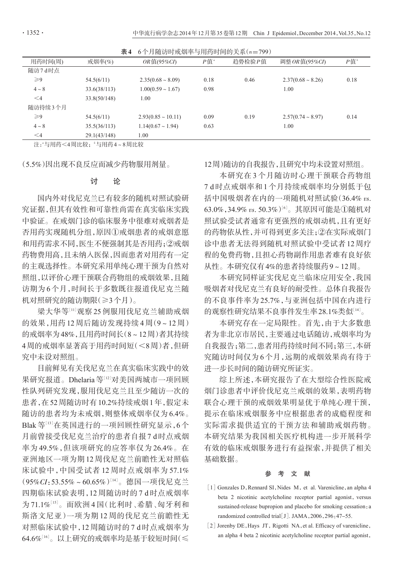| 6个月随访时戒烟率与用药时间的关系(n=799)<br>表4 |              |                         |        |        |                        |       |
|--------------------------------|--------------|-------------------------|--------|--------|------------------------|-------|
| 用药时间(周)                        | 戒烟率 $(\% )$  | $OR$ 值(95%CI)           | $P$ 值" | 趋势检验P值 | 调整 OR 值(95%CI)         | $P$ 值 |
| 随访7d时点                         |              |                         |        |        |                        |       |
| $\geqslant$ 9                  | 54.5(6/11)   | $2.35(0.68 \sim 8.09)$  | 0.18   | 0.46   | $2.37(0.68 \sim 8.26)$ | 0.18  |
| $4 \sim 8$                     | 33.6(38/113) | $1.00(0.59 \sim 1.67)$  | 0.98   |        | 1.00                   |       |
| $\leq 4$                       | 33.8(50/148) | 1.00                    |        |        |                        |       |
| 随访持续3个月                        |              |                         |        |        |                        |       |
| $\geqslant$ 9                  | 54.5(6/11)   | $2.93(0.85 \sim 10.11)$ | 0.09   | 0.19   | $2.57(0.74 \sim 8.97)$ | 0.14  |
| $4 \sim 8$                     | 35.5(36/113) | $1.14(0.67 \sim 1.94)$  | 0.63   |        | 1.00                   |       |
| $\leq$ 4                       | 29.1(43/148) | 1.00                    |        |        |                        |       |

注:"与用药<4周比较; '与用药4~8周比较

(5.5%)因出现不良反应而减少药物服用剂量。

#### 讨 论

国内外对伐尼克兰已有较多的随机对照试验研 究证据,但其有效性和可靠性尚需在真实临床实践 中验证。在戒烟门诊的临床服务中很难对戒烟者是 否用药实现随机分组,原因①戒烟患者的戒烟意愿 和用药需求不同,医生不便强制其是否用药;②戒烟 药物费用高,且未纳入医保,因而患者对用药有一定 的主观选择性。本研究采用单纯心理干预为自然对 照组,以评价心理干预联合药物组的戒烟效果,且随 访期为6个月,时间长于多数既往报道伐尼克兰随 机对照研究的随访期限(≥3个月)。

梁大华等『『观察 25 例服用伐尼克兰辅助戒烟 的效果,用药 12 周后随访发现持续 4 周(9~12 周) 的戒烟率为48%,且用药时间长(8~12周)者其持续 4周的戒烟率显著高于用药时间短(<8周)者,但研 究中未设对照组。

目前鲜见有关伐尼克兰在真实临床实践中的效 果研究报道。Dhelaria等[12]对美国两城市一项回顾 性队列研究发现,服用伐尼克兰且至少随访一次的 患者,在52周随访时有10.2%持续戒烟1年,假定未 随访的患者均为未戒烟,则整体戒烟率仅为 6.4%。 Blak 等[13]在英国进行的一项回顾性研究显示,6个 月前曾接受伐尼克兰治疗的患者自报7 d时点戒烟 率为 49.5%,但该项研究的应答率仅为 26.4%。在 亚洲地区一项为期 12 周伐尼克兰前瞻性无对照临 床试验中,中国受试者 12 周时点戒烟率为 57.1%  $(95\% CI: 53.55\% \sim 60.65\%)$ [14]。德国一项伐尼克兰 四期临床试验表明,12 周随访时的 7 d 时点戒烟率 为71.1%[15]。而欧洲4国(比利时、希腊、匈牙利和 斯洛文尼亚)一项为期 12 周的伐尼克兰前瞻性无 对照临床试验中,12 周随访时的 7 d 时点戒烟率为  $64.6\%$ [16]。以上研究的戒烟率均是基于较短时间(  $\leq$  12周)随访的自我报告,且研究中均未设置对照组。

本研究在 3 个月随访时心理干预联合药物组 7 d 时点戒烟率和 1 个月持续戒烟率均分别低于包 括中国吸烟者在内的一项随机对照试验(36.4% vs.  $63.0\%$ , 34.9% vs. 50.3%) $^{[6]}$ 。其原因可能是①随机对 照试验受试者通常有更强烈的戒烟动机,且有更好 的药物依从性,并可得到更多关注;②在实际戒烟门 诊中患者无法得到随机对照试验中受试者 12 周疗 程的免费药物,且担心药物副作用患者难有良好依 从性。本研究仅有4%的患者持续服药9~12周。

本研究同样证实伐尼克兰临床应用安全,我国 吸烟者对伐尼克兰有良好的耐受性。总体自我报告 的不良事件率为 25.7%,与亚洲包括中国在内进行 的观察性研究结果不良事件发生率28.1%类似 $^{\left[14\right]}$ 。

本研究存在一定局限性。首先,由于大多数患 者为非北京市居民,主要通过电话随访,戒烟率均为 自我报告;第二,患者用药持续时间不同;第三,本研 究随访时间仅为6个月,远期的戒烟效果尚有待于 进一步长时间的随访研究所证实。

综上所述,本研究报告了在大型综合性医院戒 烟门诊患者中评价伐尼克兰戒烟的效果,表明药物 联合心理干预的戒烟效果明显优于单纯心理干预, 提示在临床戒烟服务中应根据患者的成瘾程度和 实际需求提供适宜的干预方法和辅助戒烟药物。 本研究结果为我国相关医疗机构进一步开展科学 有效的临床戒烟服务进行有益探索,并提供了相关 基础数据。

#### 参 考 文 献

- [1] Gonzales D, Rennard SI, Nides M, et al. Varenicline, an alpha 4 beta 2 nicotinic acetylcholine receptor partial agonist, versus sustained-release bupropion and placebo for smoking cessation: a randomized controlled trial[J]. JAMA,2006,296:47-55.
- [2] Jorenby DE, Hays JT, Rigotti NA, et al. Efficacy of varenicline, an alpha 4 beta 2 nicotinic acetylcholine receptor partial agonist,